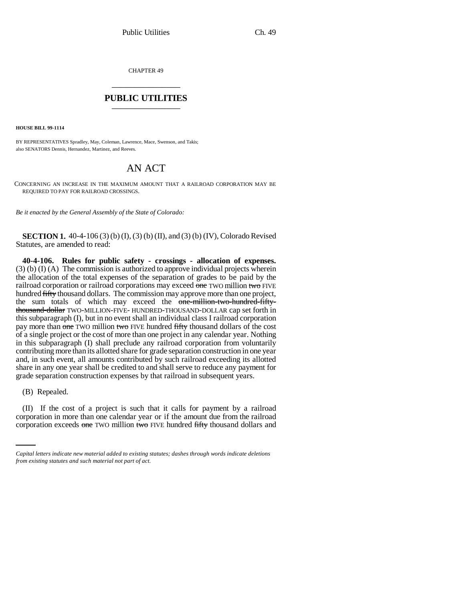CHAPTER 49 \_\_\_\_\_\_\_\_\_\_\_\_\_\_\_

## **PUBLIC UTILITIES** \_\_\_\_\_\_\_\_\_\_\_\_\_\_\_

**HOUSE BILL 99-1114**

BY REPRESENTATIVES Spradley, May, Coleman, Lawrence, Mace, Swenson, and Takis; also SENATORS Dennis, Hernandez, Martinez, and Reeves.

## AN ACT

CONCERNING AN INCREASE IN THE MAXIMUM AMOUNT THAT A RAILROAD CORPORATION MAY BE REQUIRED TO PAY FOR RAILROAD CROSSINGS.

*Be it enacted by the General Assembly of the State of Colorado:*

**SECTION 1.** 40-4-106 (3) (b) (I), (3) (b) (II), and (3) (b) (IV), Colorado Revised Statutes, are amended to read:

**40-4-106. Rules for public safety - crossings - allocation of expenses.** (3) (b) (I) (A) The commission is authorized to approve individual projects wherein the allocation of the total expenses of the separation of grades to be paid by the railroad corporation or railroad corporations may exceed one TWO million two FIVE hundred fifty thousand dollars. The commission may approve more than one project, the sum totals of which may exceed the one-million-two-hundred-fiftythousand-dollar TWO-MILLION-FIVE- HUNDRED-THOUSAND-DOLLAR cap set forth in this subparagraph (I), but in no event shall an individual class I railroad corporation pay more than one TWO million two FIVE hundred fifty thousand dollars of the cost of a single project or the cost of more than one project in any calendar year. Nothing in this subparagraph (I) shall preclude any railroad corporation from voluntarily contributing more than its allotted share for grade separation construction in one year and, in such event, all amounts contributed by such railroad exceeding its allotted share in any one year shall be credited to and shall serve to reduce any payment for grade separation construction expenses by that railroad in subsequent years.

(B) Repealed.

(II) If the cost of a project is such that it calls for payment by a railroad corporation in more than one calendar year or if the amount due from the railroad corporation exceeds one TWO million two FIVE hundred fifty thousand dollars and

*Capital letters indicate new material added to existing statutes; dashes through words indicate deletions from existing statutes and such material not part of act.*